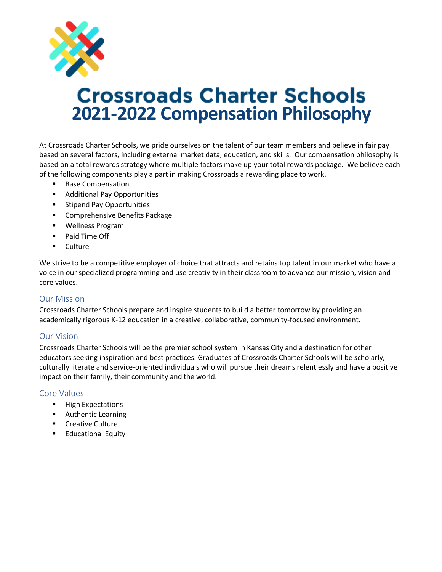

# **Crossroads Charter Schools 2021-2022 Compensation Philosophy**

At Crossroads Charter Schools, we pride ourselves on the talent of our team members and believe in fair pay based on several factors, including external market data, education, and skills. Our compensation philosophy is based on a total rewards strategy where multiple factors make up your total rewards package. We believe each of the following components play a part in making Crossroads a rewarding place to work.

- Base Compensation
- Additional Pay Opportunities
- Stipend Pay Opportunities
- Comprehensive Benefits Package
- § Wellness Program
- Paid Time Off
- § Culture

We strive to be a competitive employer of choice that attracts and retains top talent in our market who have a voice in our specialized programming and use creativity in their classroom to advance our mission, vision and core values.

### Our Mission

Crossroads Charter Schools prepare and inspire students to build a better tomorrow by providing an academically rigorous K-12 education in a creative, collaborative, community-focused environment.

### Our Vision

Crossroads Charter Schools will be the premier school system in Kansas City and a destination for other educators seeking inspiration and best practices. Graduates of Crossroads Charter Schools will be scholarly, culturally literate and service-oriented individuals who will pursue their dreams relentlessly and have a positive impact on their family, their community and the world.

#### Core Values

- High Expectations
- Authentic Learning
- Creative Culture
- Educational Equity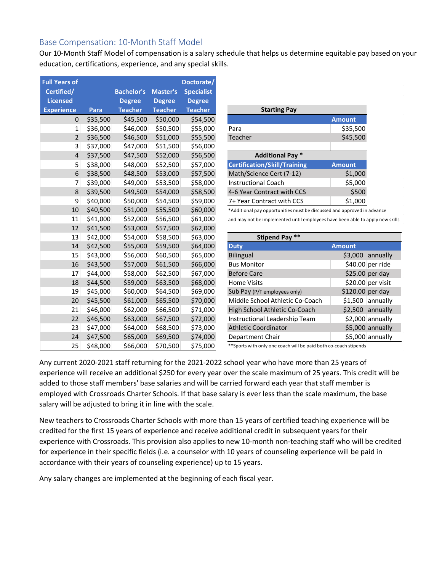### Base Compensation: 10-Month Staff Model

Our 10-Month Staff Model of compensation is a salary schedule that helps us determine equitable pay based on your education, certifications, experience, and any special skills.

| <b>Full Years of</b>    |          |                   |                 | Doctorate/        |                                                                         |                 |       |
|-------------------------|----------|-------------------|-----------------|-------------------|-------------------------------------------------------------------------|-----------------|-------|
| Certified/              |          | <b>Bachelor's</b> | <b>Master's</b> | <b>Specialist</b> |                                                                         |                 |       |
| <b>Licensed</b>         |          | <b>Degree</b>     | <b>Degree</b>   | <b>Degree</b>     |                                                                         |                 |       |
| <b>Experience</b>       | Para     | <b>Teacher</b>    | <b>Teacher</b>  | <b>Teacher</b>    | <b>Starting Pay</b>                                                     |                 |       |
| 0                       | \$35,500 | \$45,500          | \$50,000        | \$54,500          |                                                                         | <b>Amount</b>   |       |
| 1                       | \$36,000 | \$46,000          | \$50,500        | \$55,000          | Para                                                                    | \$35,500        |       |
| 2                       | \$36,500 | \$46,500          | \$51,000        | \$55,500          | Teacher                                                                 | \$45,500        |       |
| 3                       | \$37,000 | \$47,000          | \$51,500        | \$56,000          |                                                                         |                 |       |
| $\overline{\mathbf{4}}$ | \$37,500 | \$47,500          | \$52,000        | \$56,500          | <b>Additional Pay *</b>                                                 |                 |       |
| 5                       | \$38,000 | \$48,000          | \$52,500        | \$57,000          | <b>Certification/Skill/Training</b>                                     | <b>Amount</b>   |       |
| 6                       | \$38,500 | \$48,500          | \$53,000        | \$57,500          | Math/Science Cert (7-12)                                                | \$1,000         |       |
| 7                       | \$39,000 | \$49,000          | \$53,500        | \$58,000          | <b>Instructional Coach</b>                                              | \$5,000         |       |
| 8                       | \$39,500 | \$49,500          | \$54,000        | \$58,500          | 4-6 Year Contract with CCS                                              | \$500           |       |
| 9                       | \$40,000 | \$50,000          | \$54,500        | \$59,000          | 7+ Year Contract with CCS                                               | \$1,000         |       |
| 10                      | \$40,500 | \$51,000          | \$55,500        | \$60,000          | *Additional pay opportunities must be discussed and approved in advance |                 |       |
| 11                      | \$41,000 | \$52,000          | \$56,500        | \$61,000          | and may not be implemented until employees have been able to apply nev  |                 |       |
| 12                      | \$41,500 | \$53,000          | \$57,500        | \$62,000          |                                                                         |                 |       |
| 13                      | \$42,000 | \$54,000          | \$58,500        | \$63,000          | <b>Stipend Pay **</b>                                                   |                 |       |
| 14                      | \$42,500 | \$55,000          | \$59,500        | \$64,000          | <b>Duty</b>                                                             | <b>Amount</b>   |       |
| 15                      | \$43,000 | \$56,000          | \$60,500        | \$65,000          | <b>Bilingual</b>                                                        | \$3,000         | annua |
| 16                      | \$43,500 | \$57,000          | \$61,500        | \$66,000          | <b>Bus Monitor</b>                                                      | \$40.00 per rid |       |
| 17                      | \$44,000 | \$58,000          | \$62,500        | \$67,000          | <b>Before Care</b>                                                      | \$25.00 per da  |       |
| 18                      | \$44,500 | \$59,000          | \$63,500        | \$68,000          | <b>Home Visits</b>                                                      | \$20.00 per vis |       |
| 19                      | \$45,000 | \$60,000          | \$64,500        | \$69,000          | Sub Pay (P/T employees only)                                            | \$120.00 per da |       |
| 20                      | \$45,500 | \$61,000          | \$65,500        | \$70,000          | Middle School Athletic Co-Coach                                         | \$1,500 annua   |       |
| 21                      | \$46,000 | \$62,000          | \$66,500        | \$71,000          | High School Athletic Co-Coach                                           | \$2,500 annua   |       |
| 22                      | \$46,500 | \$63,000          | \$67,500        | \$72,000          | Instructional Leadership Team                                           | \$2,000 annua   |       |
| 23                      | \$47,000 | \$64,000          | \$68,500        | \$73,000          | <b>Athletic Coordinator</b>                                             | \$5,000 annua   |       |
| 24                      | \$47,500 | \$65,000          | \$69,500        | \$74,000          | Department Chair                                                        | \$5,000 annua   |       |
| 25                      | \$48,000 | \$66,000          | \$70,500        | \$75,000          | ** Sports with only one coach will be paid both co-coach stipends       |                 |       |

| <b>Starting Pay</b>                                               |               |
|-------------------------------------------------------------------|---------------|
|                                                                   | <b>Amount</b> |
| Para                                                              | \$35,500      |
| Teacher                                                           | \$45,500      |
|                                                                   |               |
| <b>Additional Pay *</b>                                           |               |
| <b>Certification/Skill/Training</b>                               | <b>Amount</b> |
| Math/Science Cert (7-12)                                          | \$1,000       |
| <b>Instructional Coach</b>                                        | \$5,000       |
| 4-6 Year Contract with CCS                                        | \$500         |
| 7+ Year Contract with CCS                                         | \$1,000       |
| *Additional pay opportunities must be discussed and approved in a |               |

and may not be implemented until employees have been able to apply new skills

| <b>Stipend Pay **</b><br>\$63,000<br>13<br>\$42,000<br>\$54,000<br>\$58,500<br>\$55,000<br>\$64,000<br>\$42,500<br>\$59,500<br>14<br><b>Duty</b><br><b>Amount</b><br>15<br>\$56,000<br>\$60,500<br>\$65,000<br>\$43,000<br><b>Bilingual</b><br>\$3,000 annually<br>\$66,000<br>\$40.00 per ride<br>\$61,500<br>\$43,500<br>\$57,000<br><b>Bus Monitor</b><br>16<br>\$67,000<br>\$25.00 per day<br>\$44,000<br>\$58,000<br>\$62,500<br><b>Before Care</b><br>17<br>\$20.00 per visit<br>\$63,500<br>\$68,000<br>\$44,500<br>\$59,000<br>18<br><b>Home Visits</b><br>\$120.00 per day<br>\$69,000<br>19<br>\$45,000<br>\$60,000<br>\$64,500<br>Sub Pay (P/T employees only)<br>\$65,500<br>\$70,000<br>\$45,500<br>\$61,000<br>20<br>Middle School Athletic Co-Coach<br>$$1,500$ annually<br>\$71,000<br>21<br>\$62,000<br>\$66,500<br>High School Athletic Co-Coach<br>\$46,000<br>\$2,500 annually<br>\$72,000<br>Instructional Leadership Team<br>\$46,500<br>\$63,000<br>\$67,500<br>\$2,000 annually<br>22<br>23.<br>\$47,000<br>\$64,000<br>\$68,500<br>\$73,000<br><b>Athletic Coordinator</b><br>\$5,000 annually<br>\$74,000<br>\$65,000<br>\$69,500<br>\$5,000 annually<br>\$47,500<br>24<br>Department Chair |  |  |  |  |
|-----------------------------------------------------------------------------------------------------------------------------------------------------------------------------------------------------------------------------------------------------------------------------------------------------------------------------------------------------------------------------------------------------------------------------------------------------------------------------------------------------------------------------------------------------------------------------------------------------------------------------------------------------------------------------------------------------------------------------------------------------------------------------------------------------------------------------------------------------------------------------------------------------------------------------------------------------------------------------------------------------------------------------------------------------------------------------------------------------------------------------------------------------------------------------------------------------------------------|--|--|--|--|
|                                                                                                                                                                                                                                                                                                                                                                                                                                                                                                                                                                                                                                                                                                                                                                                                                                                                                                                                                                                                                                                                                                                                                                                                                       |  |  |  |  |
|                                                                                                                                                                                                                                                                                                                                                                                                                                                                                                                                                                                                                                                                                                                                                                                                                                                                                                                                                                                                                                                                                                                                                                                                                       |  |  |  |  |
|                                                                                                                                                                                                                                                                                                                                                                                                                                                                                                                                                                                                                                                                                                                                                                                                                                                                                                                                                                                                                                                                                                                                                                                                                       |  |  |  |  |
|                                                                                                                                                                                                                                                                                                                                                                                                                                                                                                                                                                                                                                                                                                                                                                                                                                                                                                                                                                                                                                                                                                                                                                                                                       |  |  |  |  |
|                                                                                                                                                                                                                                                                                                                                                                                                                                                                                                                                                                                                                                                                                                                                                                                                                                                                                                                                                                                                                                                                                                                                                                                                                       |  |  |  |  |
|                                                                                                                                                                                                                                                                                                                                                                                                                                                                                                                                                                                                                                                                                                                                                                                                                                                                                                                                                                                                                                                                                                                                                                                                                       |  |  |  |  |
|                                                                                                                                                                                                                                                                                                                                                                                                                                                                                                                                                                                                                                                                                                                                                                                                                                                                                                                                                                                                                                                                                                                                                                                                                       |  |  |  |  |
|                                                                                                                                                                                                                                                                                                                                                                                                                                                                                                                                                                                                                                                                                                                                                                                                                                                                                                                                                                                                                                                                                                                                                                                                                       |  |  |  |  |
|                                                                                                                                                                                                                                                                                                                                                                                                                                                                                                                                                                                                                                                                                                                                                                                                                                                                                                                                                                                                                                                                                                                                                                                                                       |  |  |  |  |
|                                                                                                                                                                                                                                                                                                                                                                                                                                                                                                                                                                                                                                                                                                                                                                                                                                                                                                                                                                                                                                                                                                                                                                                                                       |  |  |  |  |
|                                                                                                                                                                                                                                                                                                                                                                                                                                                                                                                                                                                                                                                                                                                                                                                                                                                                                                                                                                                                                                                                                                                                                                                                                       |  |  |  |  |
|                                                                                                                                                                                                                                                                                                                                                                                                                                                                                                                                                                                                                                                                                                                                                                                                                                                                                                                                                                                                                                                                                                                                                                                                                       |  |  |  |  |

Any current 2020-2021 staff returning for the 2021-2022 school year who have more than 25 years of experience will receive an additional \$250 for every year over the scale maximum of 25 years. This credit will be added to those staff members' base salaries and will be carried forward each year that staff member is employed with Crossroads Charter Schools. If that base salary is ever less than the scale maximum, the base salary will be adjusted to bring it in line with the scale.

New teachers to Crossroads Charter Schools with more than 15 years of certified teaching experience will be credited for the first 15 years of experience and receive additional credit in subsequent years for their experience with Crossroads. This provision also applies to new 10-month non-teaching staff who will be credited for experience in their specific fields (i.e. a counselor with 10 years of counseling experience will be paid in accordance with their years of counseling experience) up to 15 years.

Any salary changes are implemented at the beginning of each fiscal year.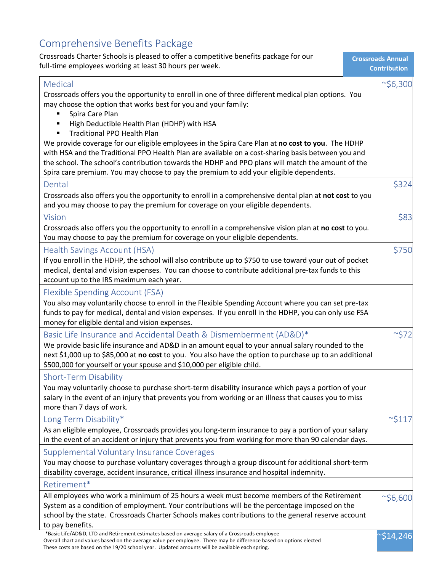| Comprehensive Benefits Package                                                                                                                                                                                                                                                                                                                                                                                                                                                                                                                                                                                                                                                                          |                                                 |
|---------------------------------------------------------------------------------------------------------------------------------------------------------------------------------------------------------------------------------------------------------------------------------------------------------------------------------------------------------------------------------------------------------------------------------------------------------------------------------------------------------------------------------------------------------------------------------------------------------------------------------------------------------------------------------------------------------|-------------------------------------------------|
| Crossroads Charter Schools is pleased to offer a competitive benefits package for our<br>full-time employees working at least 30 hours per week.                                                                                                                                                                                                                                                                                                                                                                                                                                                                                                                                                        | <b>Crossroads Annual</b><br><b>Contribution</b> |
| Medical<br>Crossroads offers you the opportunity to enroll in one of three different medical plan options. You<br>may choose the option that works best for you and your family:<br>Spira Care Plan<br>High Deductible Health Plan (HDHP) with HSA<br><b>Traditional PPO Health Plan</b><br>٠<br>We provide coverage for our eligible employees in the Spira Care Plan at no cost to you. The HDHP<br>with HSA and the Traditional PPO Health Plan are available on a cost-sharing basis between you and<br>the school. The school's contribution towards the HDHP and PPO plans will match the amount of the<br>Spira care premium. You may choose to pay the premium to add your eligible dependents. | $\sim$ \$6,300                                  |
| Dental<br>Crossroads also offers you the opportunity to enroll in a comprehensive dental plan at not cost to you<br>and you may choose to pay the premium for coverage on your eligible dependents.                                                                                                                                                                                                                                                                                                                                                                                                                                                                                                     | \$324                                           |
| <b>Vision</b><br>Crossroads also offers you the opportunity to enroll in a comprehensive vision plan at no cost to you.<br>You may choose to pay the premium for coverage on your eligible dependents.                                                                                                                                                                                                                                                                                                                                                                                                                                                                                                  | \$83                                            |
| Health Savings Account (HSA)<br>If you enroll in the HDHP, the school will also contribute up to \$750 to use toward your out of pocket<br>medical, dental and vision expenses. You can choose to contribute additional pre-tax funds to this<br>account up to the IRS maximum each year.                                                                                                                                                                                                                                                                                                                                                                                                               | \$750                                           |
| Flexible Spending Account (FSA)<br>You also may voluntarily choose to enroll in the Flexible Spending Account where you can set pre-tax<br>funds to pay for medical, dental and vision expenses. If you enroll in the HDHP, you can only use FSA<br>money for eligible dental and vision expenses.                                                                                                                                                                                                                                                                                                                                                                                                      |                                                 |
| Basic Life Insurance and Accidental Death & Dismemberment (AD&D)*<br>We provide basic life insurance and AD&D in an amount equal to your annual salary rounded to the<br>next \$1,000 up to \$85,000 at no cost to you. You also have the option to purchase up to an additional<br>\$500,000 for yourself or your spouse and \$10,000 per eligible child.                                                                                                                                                                                                                                                                                                                                              | $~^{\sim}$ \$72                                 |
| <b>Short-Term Disability</b><br>You may voluntarily choose to purchase short-term disability insurance which pays a portion of your<br>salary in the event of an injury that prevents you from working or an illness that causes you to miss<br>more than 7 days of work.                                                                                                                                                                                                                                                                                                                                                                                                                               |                                                 |
| Long Term Disability*<br>As an eligible employee, Crossroads provides you long-term insurance to pay a portion of your salary<br>in the event of an accident or injury that prevents you from working for more than 90 calendar days.                                                                                                                                                                                                                                                                                                                                                                                                                                                                   | $~^{\sim}$ \$117                                |
| Supplemental Voluntary Insurance Coverages<br>You may choose to purchase voluntary coverages through a group discount for additional short-term<br>disability coverage, accident insurance, critical illness insurance and hospital indemnity.<br>Retirement*                                                                                                                                                                                                                                                                                                                                                                                                                                           |                                                 |
| All employees who work a minimum of 25 hours a week must become members of the Retirement<br>System as a condition of employment. Your contributions will be the percentage imposed on the<br>school by the state. Crossroads Charter Schools makes contributions to the general reserve account<br>to pay benefits.                                                                                                                                                                                                                                                                                                                                                                                    | $\sim$ \$6,600                                  |
| *Basic Life/AD&D, LTD and Retirement estimates based on average salary of a Crossroads employee<br>Overall chart and values based on the average value per employee. There may be difference based on options elected<br>These costs are based on the 19/20 school year. Updated amounts will be available each spring.                                                                                                                                                                                                                                                                                                                                                                                 | \$14,246                                        |